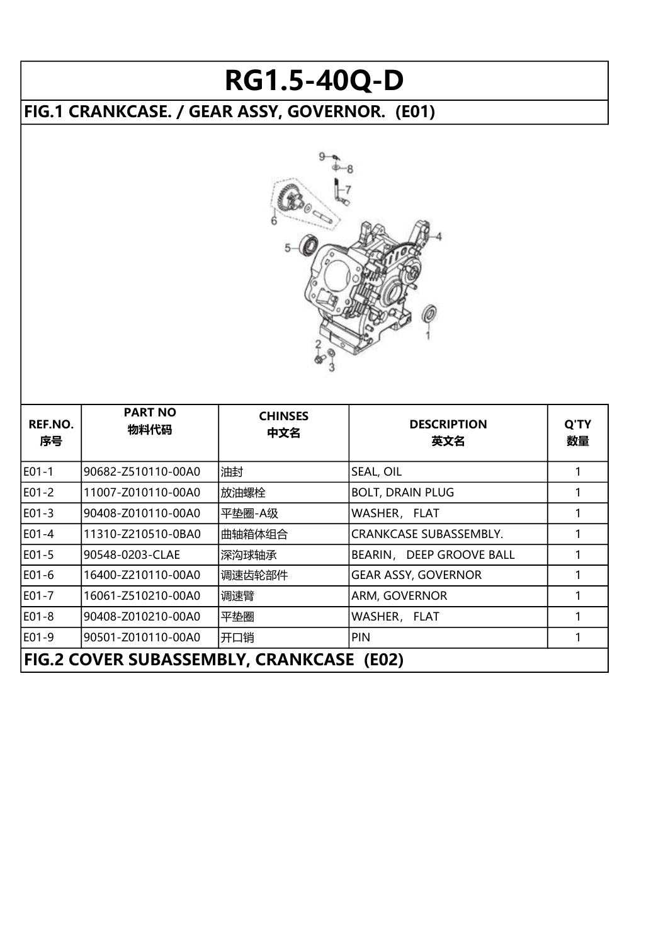## RG1.5-40Q-D

## FIG.1 CRANKCASE. / GEAR ASSY, GOVERNOR. (E01)



| REF.NO.<br>序号 | <b>PART NO</b><br>物料代码                   | <b>CHINSES</b><br>中文名 | <b>DESCRIPTION</b><br>英文名     | Q'TY<br>数量 |  |  |
|---------------|------------------------------------------|-----------------------|-------------------------------|------------|--|--|
| E01-1         | 90682-Z510110-00A0                       | 油封                    | SEAL, OIL                     |            |  |  |
| E01-2         | 11007-Z010110-00A0                       | 放油螺栓                  | <b>BOLT, DRAIN PLUG</b>       |            |  |  |
| E01-3         | 90408-Z010110-00A0                       | 平垫圈-A级                | WASHER, FLAT                  |            |  |  |
| E01-4         | 11310-Z210510-0BA0                       | 曲轴箱体组合                | <b>CRANKCASE SUBASSEMBLY.</b> |            |  |  |
| E01-5         | 90548-0203-CLAE                          | 深沟球轴承                 | BEARIN, DEEP GROOVE BALL      |            |  |  |
| E01-6         | 16400-Z210110-00A0                       | 调速齿轮部件                | <b>GEAR ASSY, GOVERNOR</b>    |            |  |  |
| E01-7         | 16061-Z510210-00A0                       | 调速臂                   | <b>ARM, GOVERNOR</b>          |            |  |  |
| E01-8         | 90408-Z010210-00A0                       | 平垫圈                   | WASHER, FLAT                  |            |  |  |
| E01-9         | 90501-Z010110-00A0                       | 开口销                   | <b>PIN</b>                    |            |  |  |
|               | FIG.2 COVER SUBASSEMBLY, CRANKCASE (E02) |                       |                               |            |  |  |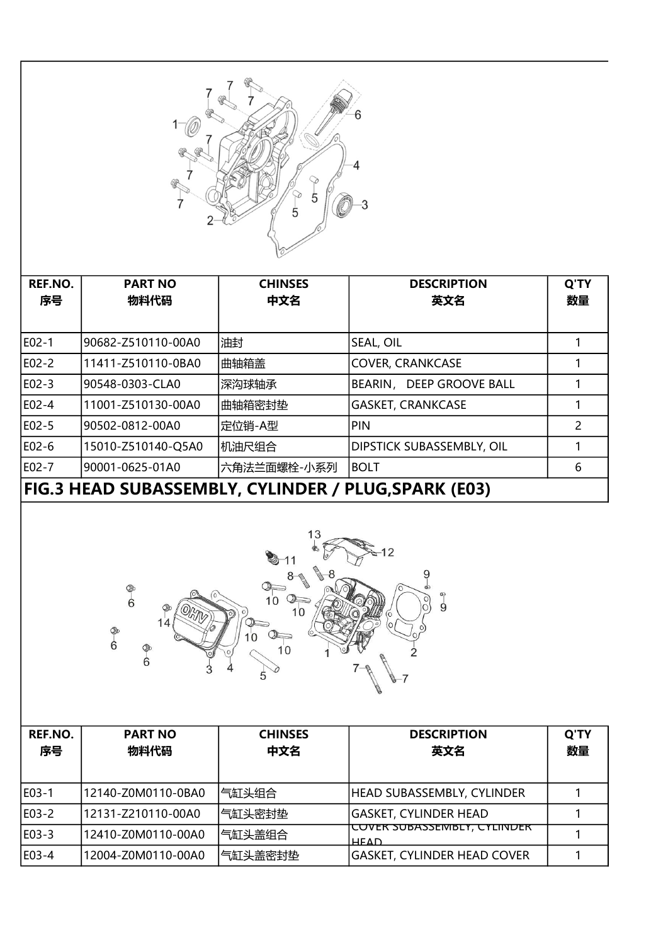

| REF.NO.<br>序号 | <b>PART NO</b><br>物料代码                              | <b>CHINSES</b><br>中文名 | <b>DESCRIPTION</b><br>英文名        | Q'TY<br>数量 |  |  |  |
|---------------|-----------------------------------------------------|-----------------------|----------------------------------|------------|--|--|--|
|               |                                                     |                       |                                  |            |  |  |  |
| E02-1         | 90682-Z510110-00A0                                  | 油封                    | <b>SEAL, OIL</b>                 |            |  |  |  |
| E02-2         | 11411-Z510110-0BA0                                  | 曲轴箱盖                  | <b>COVER, CRANKCASE</b>          |            |  |  |  |
| E02-3         | 90548-0303-CLA0                                     | 深沟球轴承                 | BEARIN, DEEP GROOVE BALL         |            |  |  |  |
| E02-4         | 11001-Z510130-00A0                                  | 曲轴箱密封垫                | <b>GASKET, CRANKCASE</b>         |            |  |  |  |
| E02-5         | 90502-0812-00A0                                     | 定位销-A型                | PIN                              | 2          |  |  |  |
| E02-6         | 15010-Z510140-Q5A0                                  | 机油尺组合                 | <b>DIPSTICK SUBASSEMBLY, OIL</b> |            |  |  |  |
| E02-7         | 90001-0625-01A0                                     | 六角法兰面螺栓-小系列           | <b>BOLT</b>                      | 6          |  |  |  |
|               | FIG.3 HEAD SUBASSEMBLY, CYLINDER / PLUG,SPARK (E03) |                       |                                  |            |  |  |  |



| REF.NO.<br>序号 | <b>PART NO</b><br>物料代码 | <b>CHINSES</b><br>中文名 | <b>DESCRIPTION</b><br>英文名                         | Q'TY<br>数量 |
|---------------|------------------------|-----------------------|---------------------------------------------------|------------|
|               |                        |                       |                                                   |            |
| IE03-1        | 12140-Z0M0110-0BA0     | 气缸头组合                 | HEAD SUBASSEMBLY, CYLINDER                        |            |
| E03-2         | 12131-Z210110-00A0     | 气缸头密封垫                | GASKET, CYLINDER HEAD                             |            |
| E03-3         | 12410-Z0M0110-00A0     | 气缸头盖组合                | <u>COVER SUBASSEMBLY, CYLINDER</u><br><b>HFAD</b> |            |
| E03-4         | 12004-Z0M0110-00A0     | 气缸头盖密封垫               | <b>GASKET, CYLINDER HEAD COVER</b>                |            |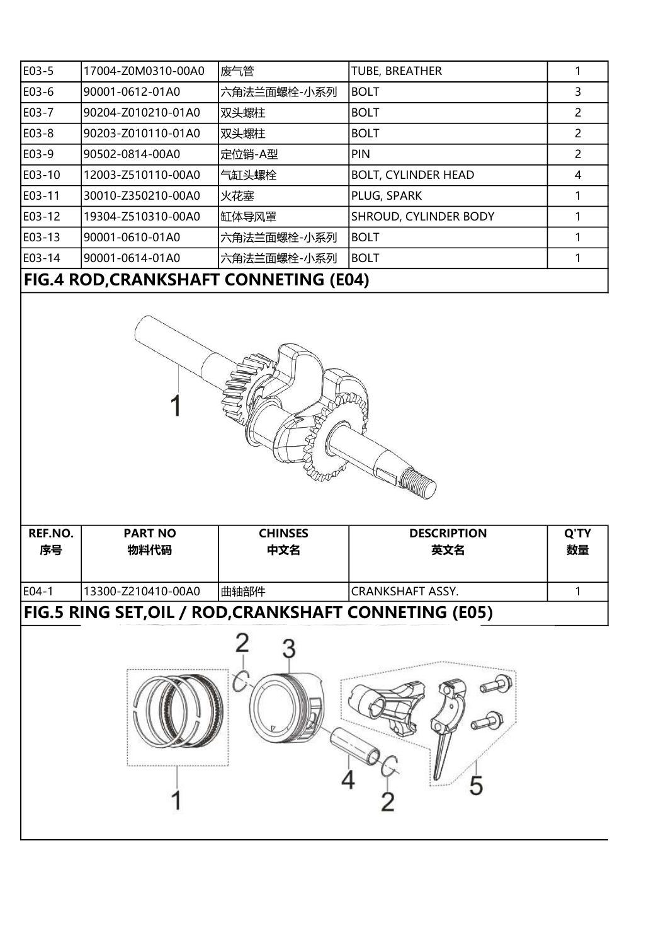| E03-5                                        | 17004-Z0M0310-00A0 | 废气管         | <b>TUBE, BREATHER</b>        |               |  |
|----------------------------------------------|--------------------|-------------|------------------------------|---------------|--|
| E03-6                                        | 90001-0612-01A0    | 六角法兰面螺栓-小系列 | <b>BOLT</b>                  | 3             |  |
| E03-7                                        | 90204-Z010210-01A0 | 双头螺柱        | <b>BOLT</b>                  | 2             |  |
| E03-8                                        | 90203-Z010110-01A0 | 双头螺柱        | <b>BOLT</b>                  | 2             |  |
| E03-9                                        | 90502-0814-00A0    | 定位销-A型      | PIN                          | $\mathcal{P}$ |  |
| E03-10                                       | 12003-Z510110-00A0 | 气缸头螺栓       | <b>BOLT, CYLINDER HEAD</b>   | 4             |  |
| E03-11                                       | 30010-Z350210-00A0 | 火花塞         | PLUG, SPARK                  |               |  |
| E03-12                                       | 19304-Z510310-00A0 | 缸体导风罩       | <b>SHROUD, CYLINDER BODY</b> |               |  |
| E03-13                                       | 90001-0610-01A0    | 六角法兰面螺栓-小系列 | <b>BOLT</b>                  |               |  |
| E03-14                                       | 90001-0614-01A0    | 六角法兰面螺栓-小系列 | <b>BOLT</b>                  |               |  |
| <b>FIG.4 ROD, CRANKSHAFT CONNETING (E04)</b> |                    |             |                              |               |  |



| REF.NO.<br>序号                                         | <b>PART NO</b><br>物料代码 | <b>CHINSES</b><br>中文名 | <b>DESCRIPTION</b><br>英文名 | Q'TY<br>数量 |  |  |
|-------------------------------------------------------|------------------------|-----------------------|---------------------------|------------|--|--|
| $E$ 04-1                                              | 13300-Z210410-00A0     | 曲轴部件                  | ICRANKSHAFT ASSY.         |            |  |  |
| FIG.5 RING SET, OIL / ROD, CRANKSHAFT CONNETING (E05) |                        |                       |                           |            |  |  |

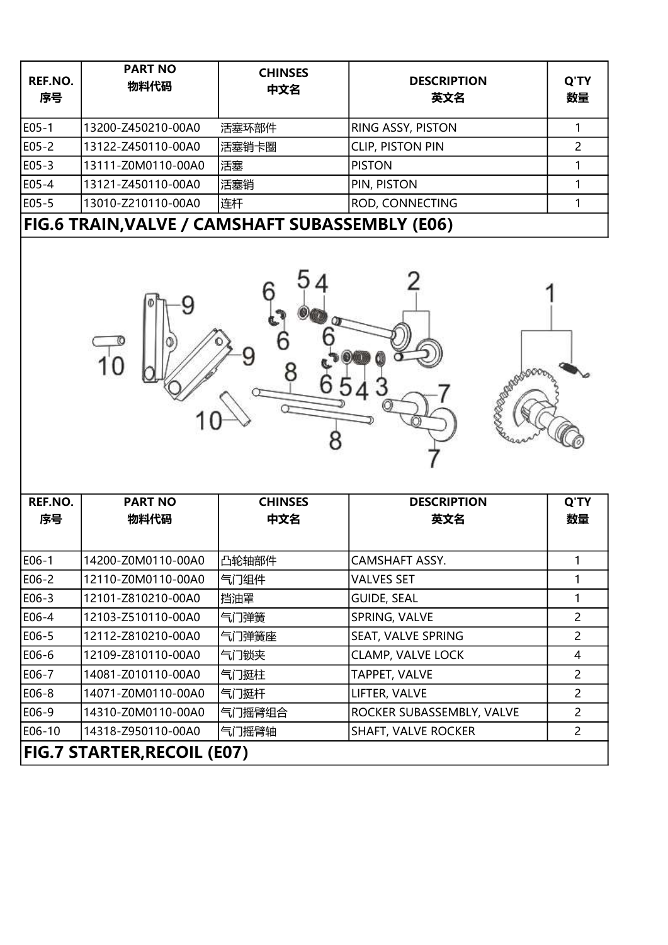| REF.NO.<br>序号                                   | <b>PART NO</b><br>物料代码      | <b>CHINSES</b><br>中文名 | <b>DESCRIPTION</b><br>英文名  | Q'TY<br>数量     |
|-------------------------------------------------|-----------------------------|-----------------------|----------------------------|----------------|
| E05-1                                           | 13200-Z450210-00A0          | 活塞环部件                 | RING ASSY, PISTON          | $\mathbf{1}$   |
| E05-2                                           | 13122-Z450110-00A0          | 活塞销卡圈                 | <b>CLIP, PISTON PIN</b>    | $\overline{2}$ |
| E05-3                                           | 13111-Z0M0110-00A0          | 活塞                    | <b>PISTON</b>              | $\mathbf{1}$   |
| E05-4                                           | 13121-Z450110-00A0          | 活塞销                   | PIN, PISTON                | $\mathbf{1}$   |
| E05-5                                           | 13010-Z210110-00A0          | 连杆                    | ROD, CONNECTING            | 1              |
| FIG.6 TRAIN, VALVE / CAMSHAFT SUBASSEMBLY (E06) |                             |                       |                            |                |
|                                                 |                             |                       |                            |                |
| REF.NO.                                         | <b>PART NO</b>              | <b>CHINSES</b>        | <b>DESCRIPTION</b>         | Q'TY           |
| 序号                                              | 物料代码                        | 中文名                   | 英文名                        | 数量             |
| E06-1                                           | 14200-Z0M0110-00A0          | 凸轮轴部件                 | CAMSHAFT ASSY.             |                |
| E06-2                                           | 12110-Z0M0110-00A0          | 气门组件                  | <b>VALVES SET</b>          | $\mathbf{1}$   |
| E06-3                                           | 12101-Z810210-00A0          | 挡油罩                   | <b>GUIDE, SEAL</b>         | $\mathbf{1}$   |
| E06-4                                           | 12103-Z510110-00A0          | 气门弹簧                  | SPRING, VALVE              | $\overline{2}$ |
| $E06-5$                                         | 12112-Z810210-00A0          | 气门弹簧座                 | SEAT, VALVE SPRING         | $\overline{2}$ |
| E06-6                                           | 12109-Z810110-00A0          | 气门锁夹                  | <b>CLAMP, VALVE LOCK</b>   | $\overline{4}$ |
| E06-7                                           | 14081-Z010110-00A0          | 气门挺柱                  | TAPPET, VALVE              | $\overline{2}$ |
| E06-8                                           | 14071-Z0M0110-00A0          | 气门挺杆                  | LIFTER, VALVE              | $\overline{2}$ |
| E06-9                                           | 14310-Z0M0110-00A0          | 气门摇臂组合                | ROCKER SUBASSEMBLY, VALVE  | $\overline{2}$ |
| E06-10                                          | 14318-Z950110-00A0          | 气门摇臂轴                 | <b>SHAFT, VALVE ROCKER</b> | $\overline{2}$ |
|                                                 | FIG.7 STARTER, RECOIL (E07) |                       |                            |                |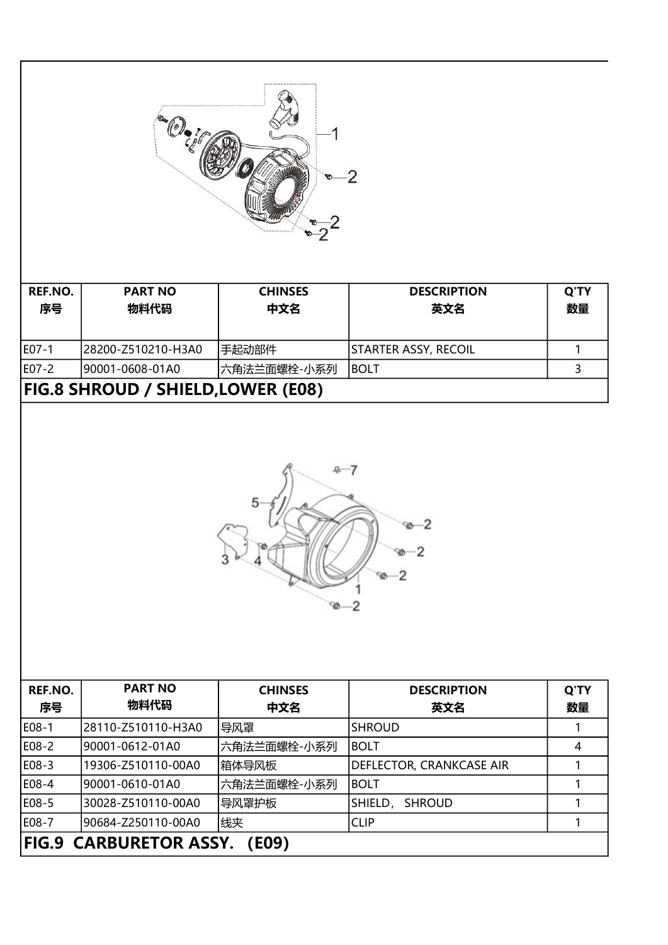

| REF.NO.<br>序号                            | <b>PART NO</b><br>物料代码 | <b>CHINSES</b><br>中文名 | <b>DESCRIPTION</b><br>英文名 | Q'TY<br>数量 |  |
|------------------------------------------|------------------------|-----------------------|---------------------------|------------|--|
| lE07-1                                   | 28200-Z510210-H3A0     | 手起动部件                 | STARTER ASSY, RECOIL      |            |  |
| E07-2                                    | 90001-0608-01A0        | '六角法兰面螺栓-小系列          | IBOLT                     |            |  |
| <b>FIG.8 SHROUD / SHIELD,LOWER (E08)</b> |                        |                       |                           |            |  |



| REF.NO.<br>序号                          | <b>PART NO</b><br>物料代码 | <b>CHINSES</b><br>中文名 | <b>DESCRIPTION</b><br>英文名 | Q'TY<br>数量 |  |
|----------------------------------------|------------------------|-----------------------|---------------------------|------------|--|
| E08-1                                  | 28110-Z510110-H3A0     | 导风罩                   | <b>SHROUD</b>             |            |  |
| E08-2                                  | l90001-0612-01A0       | 六角法兰面螺栓-小系列           | <b>BOLT</b>               | 4          |  |
| E08-3                                  | 19306-Z510110-00A0     | 箱体导风板                 | DEFLECTOR, CRANKCASE AIR  |            |  |
| E08-4                                  | l90001-0610-01A0       | 六角法兰面螺栓-小系列           | <b>BOLT</b>               |            |  |
| E08-5                                  | 30028-Z510110-00A0     | 导风罩护板                 | SHIELD,<br><b>SHROUD</b>  |            |  |
| E08-7                                  | 90684-Z250110-00A0     | 线夹                    | <b>CLIP</b>               |            |  |
| <b>FIG.9 CARBURETOR ASSY.</b><br>(E09) |                        |                       |                           |            |  |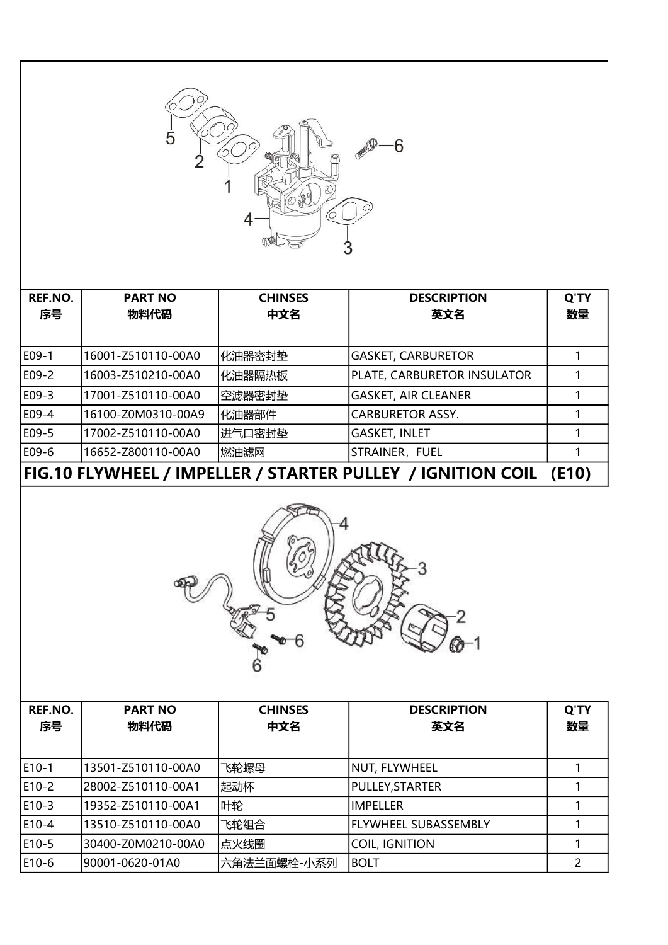

| REF.NO.                                                              | <b>PART NO</b>     | <b>CHINSES</b> | <b>DESCRIPTION</b>          | Q'TY |
|----------------------------------------------------------------------|--------------------|----------------|-----------------------------|------|
| 序号                                                                   | 物料代码               | 中文名            | 英文名                         | 数量   |
|                                                                      |                    |                |                             |      |
| E09-1                                                                | 16001-Z510110-00A0 | 化油器密封垫         | <b>GASKET, CARBURETOR</b>   |      |
| E09-2                                                                | 16003-Z510210-00A0 | 化油器隔热板         | PLATE, CARBURETOR INSULATOR |      |
| E09-3                                                                | 17001-Z510110-00A0 | 空滤器密封垫         | <b>GASKET, AIR CLEANER</b>  |      |
| E09-4                                                                | 16100-Z0M0310-00A9 | 化油器部件          | <b>CARBURETOR ASSY.</b>     |      |
| E09-5                                                                | 17002-Z510110-00A0 | 进气口密封垫         | <b>GASKET, INLET</b>        |      |
| E09-6                                                                | 16652-Z800110-00A0 | 燃油滤网           | STRAINER, FUEL              |      |
| FIG.10 FLYWHEEL / IMPELLER / STARTER PULLEY / IGNITION COIL<br>(E10) |                    |                |                             |      |



| REF.NO.<br>序号 | <b>PART NO</b><br>物料代码 | <b>CHINSES</b><br>中文名 | <b>DESCRIPTION</b><br>英文名   | Q'TY<br>数量 |
|---------------|------------------------|-----------------------|-----------------------------|------------|
| E10-1         | 13501-Z510110-00A0     | 飞轮螺母                  | NUT, FLYWHEEL               |            |
| E10-2         | 28002-Z510110-00A1     | 起动杯                   | PULLEY, STARTER             |            |
| E10-3         | 19352-Z510110-00A1     | 叶轮                    | <b>IMPELLER</b>             |            |
| E10-4         | 13510-Z510110-00A0     | 飞轮组合                  | <b>FLYWHEEL SUBASSEMBLY</b> |            |
| E10-5         | 30400-Z0M0210-00A0     | 点火线圈                  | <b>COIL, IGNITION</b>       |            |
| E10-6         | 90001-0620-01A0        | 六角法兰面螺栓-小系列           | <b>BOLT</b>                 |            |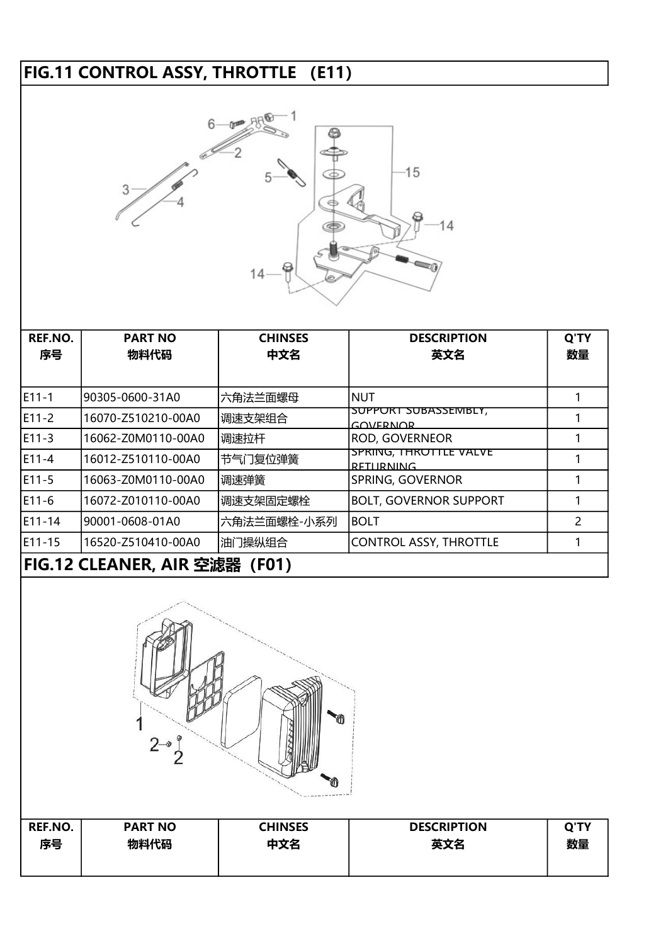## FIG.11 CONTROL ASSY, THROTTLE (E11)



| REF.NO. | <b>PART NO</b>                   | <b>CHINSES</b> | <b>DESCRIPTION</b>                                | Q'TY |  |  |  |
|---------|----------------------------------|----------------|---------------------------------------------------|------|--|--|--|
| 序号      | 物料代码                             | 中文名            | 英文名                                               | 数量   |  |  |  |
|         |                                  |                |                                                   |      |  |  |  |
| E11-1   | 90305-0600-31A0                  | 六角法兰面螺母        | <b>NUT</b>                                        |      |  |  |  |
| E11-2   | 16070-Z510210-00A0               | 调速支架组合         | <u>SUPPORT SUBASSEMBLY,</u><br><b>GOVERNOR</b>    |      |  |  |  |
| E11-3   | 16062-Z0M0110-00A0               | 调速拉杆           | <b>ROD, GOVERNEOR</b>                             |      |  |  |  |
| E11-4   | 16012-Z510110-00A0               | 节气门复位弹簧        | <u>SPRING, THROTTLE VALVE</u><br><b>RETURNING</b> |      |  |  |  |
| E11-5   | 16063-Z0M0110-00A0               | 调速弹簧           | SPRING, GOVERNOR                                  |      |  |  |  |
| E11-6   | 16072-Z010110-00A0               | 调速支架固定螺栓       | <b>BOLT, GOVERNOR SUPPORT</b>                     |      |  |  |  |
| E11-14  | 90001-0608-01A0                  | 六角法兰面螺栓-小系列    | <b>BOLT</b>                                       | 2    |  |  |  |
| E11-15  | 16520-Z510410-00A0               | 油门操纵组合         | <b>CONTROL ASSY, THROTTLE</b>                     |      |  |  |  |
|         | FIG.12 CLEANER, AIR 空滤器<br>(F01) |                |                                                   |      |  |  |  |



| <b>REF.NO.</b> | <b>PART NO</b> | <b>CHINSES</b> | <b>DESCRIPTION</b> | <b>Q'TY</b> |
|----------------|----------------|----------------|--------------------|-------------|
| 序号             | 物料代码           | 中文名            | 英文名                | 数量          |
|                |                |                |                    |             |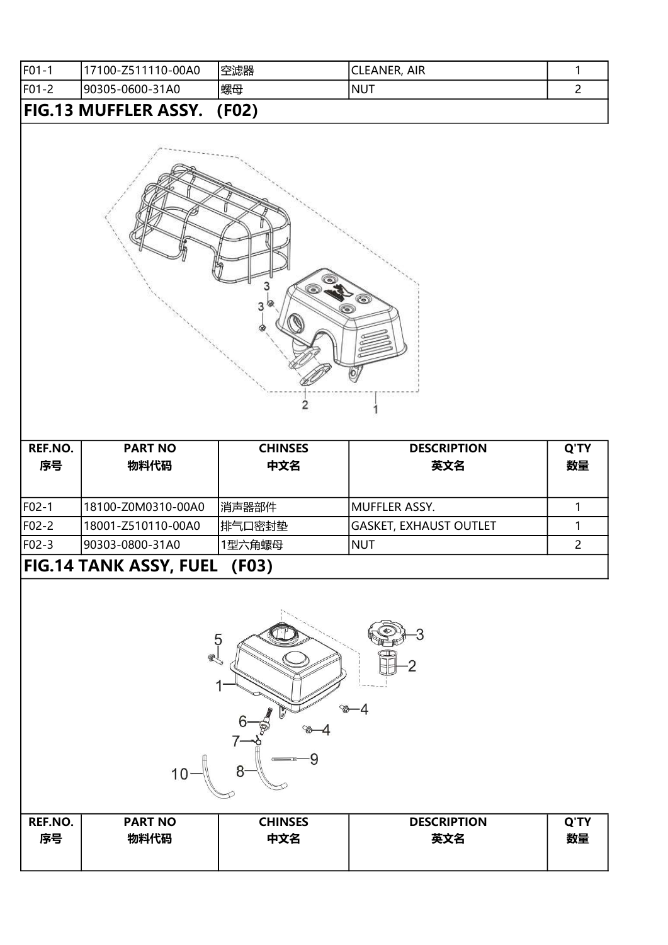| <b>IF01-1</b>                        | 17100-Z511110-00A0 | 空滤器 | <b>CLEANER, AIR</b> |  |  |  |
|--------------------------------------|--------------------|-----|---------------------|--|--|--|
| F01-2                                | 90305-0600-31A0    | 螺母  | INUT                |  |  |  |
| <b>FIG.13 MUFFLER ASSY.</b><br>(F02) |                    |     |                     |  |  |  |



| REF.NO.<br>序号                                       | <b>PART NO</b><br>物料代码 | <b>CHINSES</b><br>中文名 | <b>DESCRIPTION</b><br>英文名     | Q'TY<br>数量 |  |
|-----------------------------------------------------|------------------------|-----------------------|-------------------------------|------------|--|
|                                                     |                        |                       |                               |            |  |
| F02-1                                               | 18100-Z0M0310-00A0     | 消声器部件                 | IMUFFLER ASSY.                |            |  |
| F02-2                                               | 18001-Z510110-00A0     | 排气口密封垫                | <b>GASKET, EXHAUST OUTLET</b> |            |  |
| F02-3                                               | l90303-0800-31A0       | 1型六角螺母                | <b>NUT</b>                    |            |  |
| <b>FIG.14 TANK ASSY, FUEL</b><br>(F <sub>0</sub> 3) |                        |                       |                               |            |  |



| <b>REF.NO.</b> | <b>PART NO</b> | <b>CHINSES</b> | <b>DESCRIPTION</b> | Q'TY |
|----------------|----------------|----------------|--------------------|------|
| 序号             | 物料代码           | 中文名            | 英文名                | 数量   |
|                |                |                |                    |      |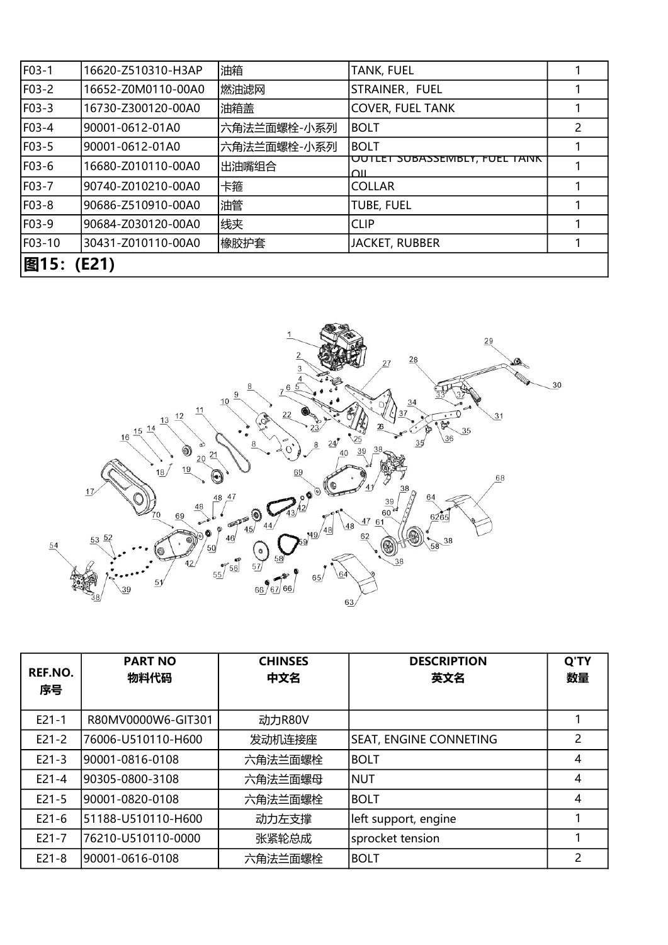| F03-1      | 16620-Z510310-H3AP | 油箱          | <b>TANK, FUEL</b>                                  |               |
|------------|--------------------|-------------|----------------------------------------------------|---------------|
| F03-2      | 16652-Z0M0110-00A0 | 燃油滤网        | STRAINER, FUEL                                     |               |
| F03-3      | 16730-Z300120-00A0 | 油箱盖         | <b>COVER, FUEL TANK</b>                            |               |
| F03-4      | 90001-0612-01A0    | 六角法兰面螺栓-小系列 | <b>BOLT</b>                                        | $\mathcal{P}$ |
| F03-5      | 90001-0612-01A0    | 六角法兰面螺栓-小系列 | <b>BOLT</b>                                        |               |
| F03-6      | 16680-Z010110-00A0 | 出油嘴组合       | <u>UUTLET SUBASSEMBLY, FUEL TAINK</u><br>$\bigcap$ |               |
| F03-7      | 90740-Z010210-00A0 | 卡箍          | <b>COLLAR</b>                                      |               |
| F03-8      | 90686-Z510910-00A0 | 油管          | <b>TUBE, FUEL</b>                                  |               |
| F03-9      | 90684-Z030120-00A0 | 线夹          | <b>CLIP</b>                                        |               |
| F03-10     | 30431-Z010110-00A0 | 橡胶护套        | <b>JACKET, RUBBER</b>                              |               |
| 图15: (E21) |                    |             |                                                    |               |



| REF.NO.<br>序号 | <b>PART NO</b><br>物料代码 | <b>CHINSES</b><br>中文名 | <b>DESCRIPTION</b><br>英文名     | Q'TY<br>数量 |
|---------------|------------------------|-----------------------|-------------------------------|------------|
| $E21 - 1$     | R80MV0000W6-GIT301     | 动力R80V                |                               |            |
| $E21-2$       | 76006-U510110-H600     | 发动机连接座                | <b>SEAT, ENGINE CONNETING</b> | 2          |
| $E21-3$       | 90001-0816-0108        | 六角法兰面螺栓               | <b>BOLT</b>                   | 4          |
| $E21 - 4$     | 90305-0800-3108        | 六角法兰面螺母               | <b>NUT</b>                    | 4          |
| $E21-5$       | 90001-0820-0108        | 六角法兰面螺栓               | <b>BOLT</b>                   | 4          |
| $E21-6$       | 51188-U510110-H600     | 动力左支撑                 | left support, engine          |            |
| $E21 - 7$     | 76210-U510110-0000     | 张紧轮总成                 | sprocket tension              |            |
| $E21-8$       | 90001-0616-0108        | 六角法兰面螺栓               | <b>BOLT</b>                   | 2          |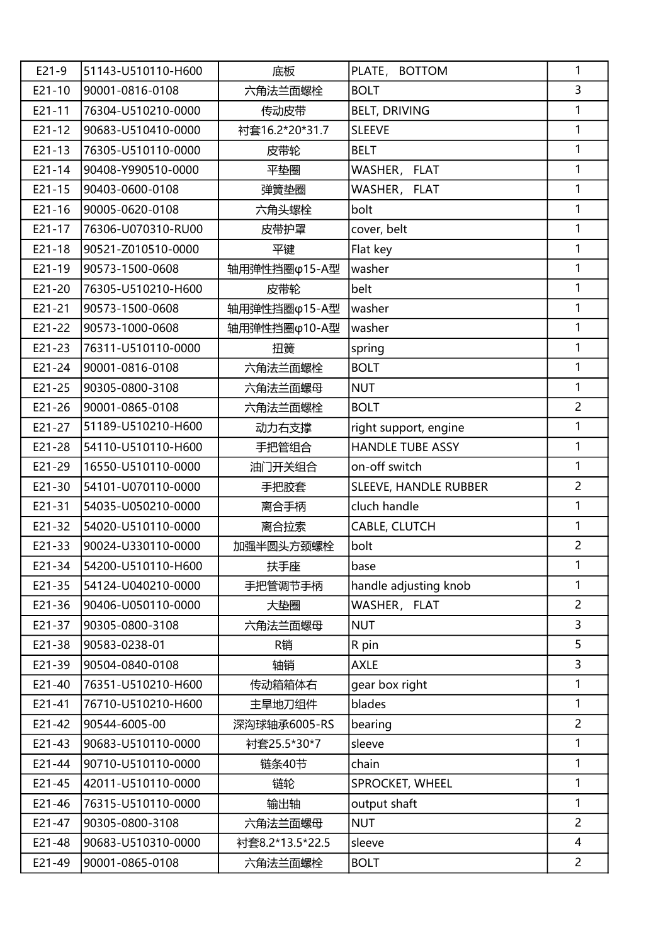| $E21-9$    | 51143-U510110-H600 | 底板              | PLATE, BOTTOM                | 1              |
|------------|--------------------|-----------------|------------------------------|----------------|
| $E21 - 10$ | 90001-0816-0108    | 六角法兰面螺栓         | <b>BOLT</b>                  | 3              |
| $E21 - 11$ | 76304-U510210-0000 | 传动皮带            | <b>BELT, DRIVING</b>         | 1              |
| $E21 - 12$ | 90683-U510410-0000 | 衬套16.2*20*31.7  | <b>SLEEVE</b>                | 1              |
| $E21 - 13$ | 76305-U510110-0000 | 皮带轮             | <b>BELT</b>                  | 1              |
| $E21 - 14$ | 90408-Y990510-0000 | 平垫圈             | WASHER, FLAT                 | 1              |
| $E21 - 15$ | 90403-0600-0108    | 弹簧垫圈            | WASHER, FLAT                 | 1              |
| $E21 - 16$ | 90005-0620-0108    | 六角头螺栓           | bolt                         | 1              |
| $E21 - 17$ | 76306-U070310-RU00 | 皮带护罩            | cover, belt                  | 1              |
| $E21 - 18$ | 90521-Z010510-0000 | 平键              | Flat key                     | 1              |
| $E21 - 19$ | 90573-1500-0608    | 轴用弹性挡圈φ15-A型    | washer                       | 1              |
| $E21 - 20$ | 76305-U510210-H600 | 皮带轮             | belt                         | 1              |
| $E21 - 21$ | 90573-1500-0608    | 轴用弹性挡圈φ15-A型    | washer                       | 1              |
| E21-22     | 90573-1000-0608    | 轴用弹性挡圈φ10-A型    | washer                       | $\mathbf{1}$   |
| $E21 - 23$ | 76311-U510110-0000 | 扭簧              | spring                       | 1              |
| E21-24     | 90001-0816-0108    | 六角法兰面螺栓         | <b>BOLT</b>                  | 1              |
| $E21 - 25$ | 90305-0800-3108    | 六角法兰面螺母         | <b>NUT</b>                   | 1              |
| $E21 - 26$ | 90001-0865-0108    | 六角法兰面螺栓         | <b>BOLT</b>                  | $\overline{2}$ |
| $E21 - 27$ | 51189-U510210-H600 | 动力右支撑           | right support, engine        | 1              |
| E21-28     | 54110-U510110-H600 | 手把管组合           | <b>HANDLE TUBE ASSY</b>      | 1              |
| E21-29     | 16550-U510110-0000 | 油门开关组合          | on-off switch                | 1              |
| E21-30     | 54101-U070110-0000 | 手把胶套            | <b>SLEEVE, HANDLE RUBBER</b> | $\overline{2}$ |
| $E21 - 31$ | 54035-U050210-0000 | 离合手柄            | cluch handle                 | 1              |
| $E21 - 32$ | 54020-U510110-0000 | 离合拉索            | <b>CABLE, CLUTCH</b>         | 1              |
| E21-33     | 90024-U330110-0000 | 加强半圆头方颈螺栓       | bolt                         | $\overline{c}$ |
| E21-34     | 54200-U510110-H600 | 扶手座             | base                         | $\mathbf{1}$   |
| $E21 - 35$ | 54124-U040210-0000 | 手把管调节手柄         | handle adjusting knob        | 1              |
| $E21 - 36$ | 90406-U050110-0000 | 大垫圈             | WASHER, FLAT                 | $\overline{2}$ |
| E21-37     | 90305-0800-3108    | 六角法兰面螺母         | <b>NUT</b>                   | $\overline{3}$ |
| E21-38     | 90583-0238-01      | R销              | R pin                        | 5              |
| E21-39     | 90504-0840-0108    | 轴销              | <b>AXLE</b>                  | $\overline{3}$ |
| E21-40     | 76351-U510210-H600 | 传动箱箱体右          | gear box right               | $\mathbf{1}$   |
| $E21 - 41$ | 76710-U510210-H600 | 主旱地刀组件          | blades                       | 1              |
| E21-42     | 90544-6005-00      | 深沟球轴承6005-RS    | bearing                      | $\overline{2}$ |
| $E21 - 43$ | 90683-U510110-0000 | 衬套25.5*30*7     | sleeve                       | 1              |
| E21-44     | 90710-U510110-0000 | 链条40节           | chain                        | 1              |
| E21-45     | 42011-U510110-0000 | 链轮              | SPROCKET, WHEEL              | 1              |
| E21-46     | 76315-U510110-0000 | 输出轴             | output shaft                 | 1              |
| E21-47     | 90305-0800-3108    | 六角法兰面螺母         | <b>NUT</b>                   | $\overline{2}$ |
| E21-48     | 90683-U510310-0000 | 衬套8.2*13.5*22.5 | sleeve                       | $\overline{4}$ |
| E21-49     | 90001-0865-0108    | 六角法兰面螺栓         | <b>BOLT</b>                  | $\overline{2}$ |